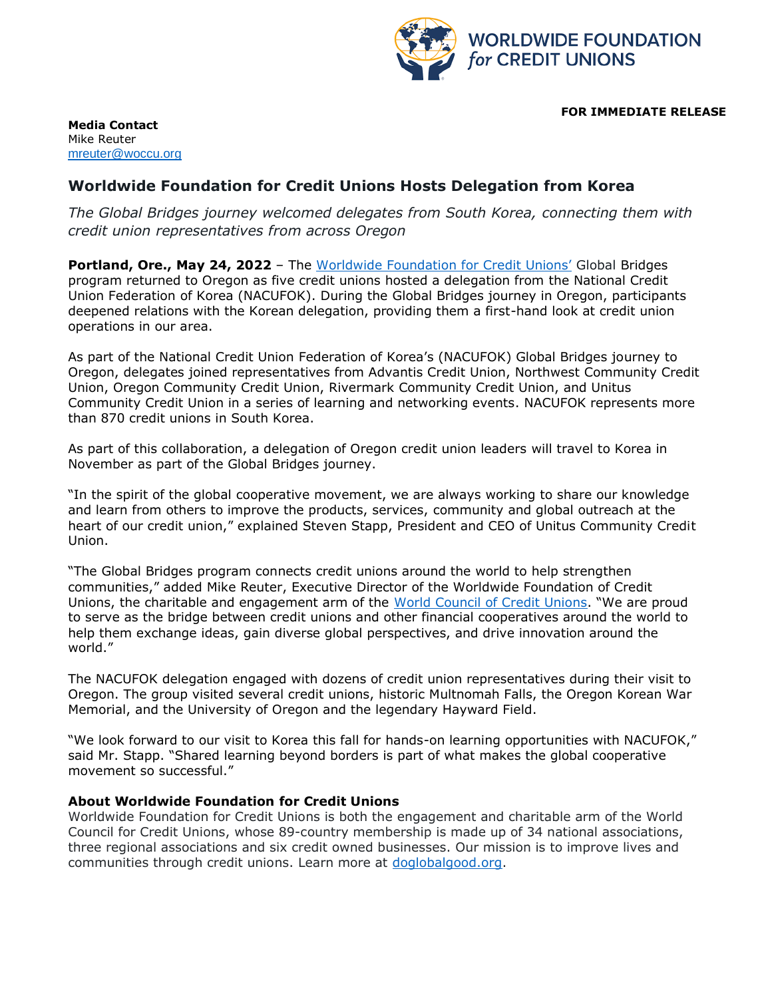

**FOR IMMEDIATE RELEASE**

**Media Contact**  Mike Reuter [mreuter@woccu.org](mailto:mreuter@woccu.org)

## **Worldwide Foundation for Credit Unions Hosts Delegation from Korea**

*The Global Bridges journey welcomed delegates from South Korea, connecting them with credit union representatives from across Oregon*

**Portland, Ore., May 24, 2022** – The [Worldwide Foundation for Credit Unions'](http://www.doglobalgood.org/) Global Bridges program returned to Oregon as five credit unions hosted a delegation from the National Credit Union Federation of Korea (NACUFOK). During the Global Bridges journey in Oregon, participants deepened relations with the Korean delegation, providing them a first-hand look at credit union operations in our area.

As part of the National Credit Union Federation of Korea's (NACUFOK) Global Bridges journey to Oregon, delegates joined representatives from Advantis Credit Union, Northwest Community Credit Union, Oregon Community Credit Union, Rivermark Community Credit Union, and Unitus Community Credit Union in a series of learning and networking events. NACUFOK represents more than 870 credit unions in South Korea.

As part of this collaboration, a delegation of Oregon credit union leaders will travel to Korea in November as part of the Global Bridges journey.

"In the spirit of the global cooperative movement, we are always working to share our knowledge and learn from others to improve the products, services, community and global outreach at the heart of our credit union," explained Steven Stapp, President and CEO of Unitus Community Credit Union.

"The Global Bridges program connects credit unions around the world to help strengthen communities," added Mike Reuter, Executive Director of the Worldwide Foundation of Credit Unions, the charitable and engagement arm of the [World Council of Credit Unions](https://www.woccu.org/). "We are proud to serve as the bridge between credit unions and other financial cooperatives around the world to help them exchange ideas, gain diverse global perspectives, and drive innovation around the world."

The NACUFOK delegation engaged with dozens of credit union representatives during their visit to Oregon. The group visited several credit unions, historic Multnomah Falls, the Oregon Korean War Memorial, and the University of Oregon and the legendary Hayward Field.

"We look forward to our visit to Korea this fall for hands-on learning opportunities with NACUFOK," said Mr. Stapp. "Shared learning beyond borders is part of what makes the global cooperative movement so successful."

## **About Worldwide Foundation for Credit Unions**

Worldwide Foundation for Credit Unions is both the engagement and charitable arm of the World Council for Credit Unions, whose 89-country membership is made up of 34 national associations, three regional associations and six credit owned businesses. Our mission is to improve lives and communities through credit unions. Learn more at [doglobalgood.org.](http://www.doglobalgood.org/)